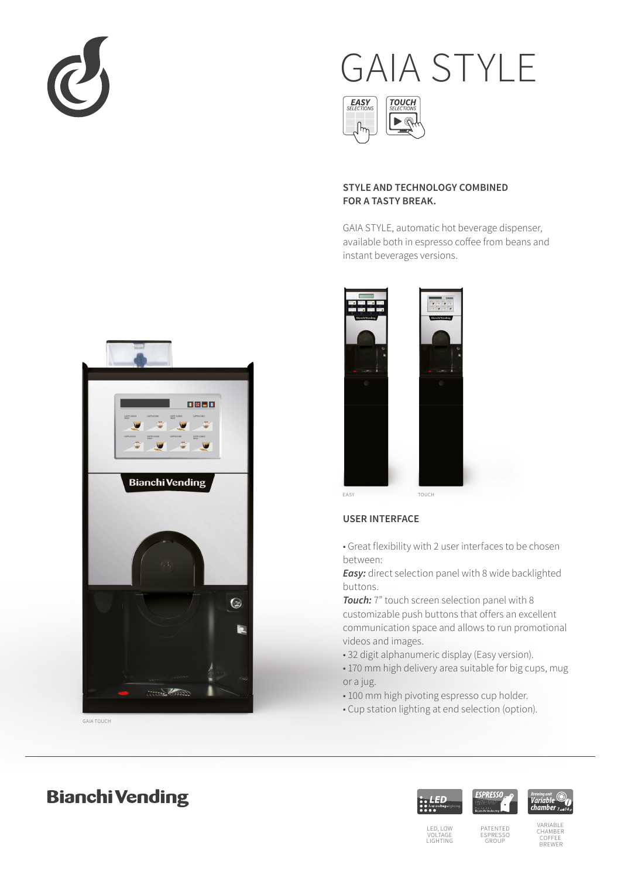

# GAIA STYLE



## **STYLE AND TECHNOLOGY COMBINED FOR A TASTY BREAK.**

GAIA STYLE, automatic hot beverage dispenser, available both in espresso coffee from beans and instant beverages versions.



## **USER INTERFACE**

■ Great flexibility with 2 user interfaces to be chosen between:

*Easy:* direct selection panel with 8 wide backlighted buttons.

*Touch:* 7" touch screen selection panel with 8 customizable push buttons that offers an excellent communication space and allows to run promotional videos and images.

- 32 digit alphanumeric display (Easy version).
- 170 mm high delivery area suitable for big cups, mug or a jug.
- 100 mm high pivoting espresso cup holder.
- Cup station lighting at end selection (option).



GAIA TOUCH

# **Bianchi Vending**





PATENTED ESPRESSO GROUP

CHAMBER COFFEE BREWER